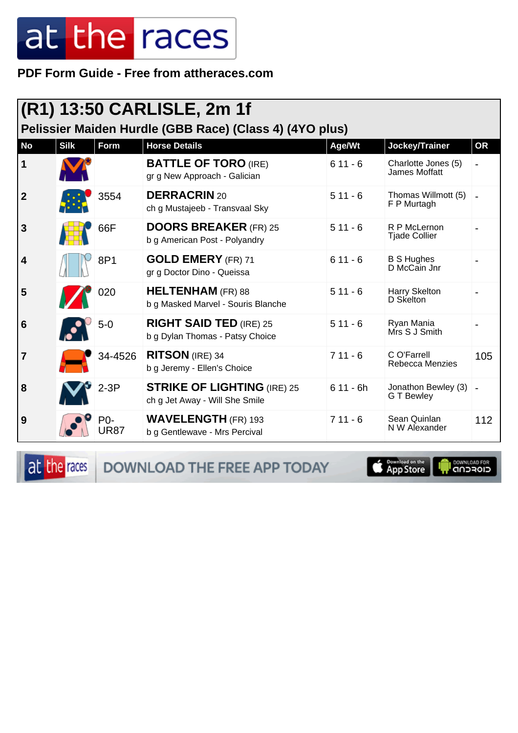**PDF Form Guide - Free from attheraces.com**

| (R1) 13:50 CARLISLE, 2m 1f<br>Pelissier Maiden Hurdle (GBB Race) (Class 4) (4YO plus) |             |                    |                                                                      |            |                                         |                |  |
|---------------------------------------------------------------------------------------|-------------|--------------------|----------------------------------------------------------------------|------------|-----------------------------------------|----------------|--|
| <b>No</b>                                                                             | <b>Silk</b> | <b>Form</b>        | <b>Horse Details</b>                                                 | Age/Wt     | Jockey/Trainer                          | <b>OR</b>      |  |
| 1                                                                                     |             |                    | <b>BATTLE OF TORO (IRE)</b><br>gr g New Approach - Galician          | $611 - 6$  | Charlotte Jones (5)<br>James Moffatt    |                |  |
| $\overline{2}$                                                                        |             | 3554               | <b>DERRACRIN 20</b><br>ch g Mustajeeb - Transvaal Sky                | $511 - 6$  | Thomas Willmott (5)<br>F P Murtagh      | $\blacksquare$ |  |
| 3                                                                                     |             | 66F                | <b>DOORS BREAKER (FR) 25</b><br>b g American Post - Polyandry        | $511 - 6$  | R P McLernon<br><b>Tjade Collier</b>    |                |  |
| 4                                                                                     |             | 8P1                | <b>GOLD EMERY</b> (FR) 71<br>gr g Doctor Dino - Queissa              | $611 - 6$  | <b>B S Hughes</b><br>D McCain Jnr       |                |  |
| 5                                                                                     |             | 020                | <b>HELTENHAM</b> (FR) 88<br>b g Masked Marvel - Souris Blanche       | $511 - 6$  | Harry Skelton<br>D Skelton              |                |  |
| 6                                                                                     |             | $5-0$              | <b>RIGHT SAID TED (IRE) 25</b><br>b g Dylan Thomas - Patsy Choice    | $511 - 6$  | Ryan Mania<br>Mrs S J Smith             |                |  |
| 7                                                                                     |             | 34-4526            | <b>RITSON</b> (IRE) 34<br>b g Jeremy - Ellen's Choice                | $711 - 6$  | C O'Farrell<br>Rebecca Menzies          | 105            |  |
| 8                                                                                     |             | $2-3P$             | <b>STRIKE OF LIGHTING (IRE) 25</b><br>ch g Jet Away - Will She Smile | $611 - 6h$ | Jonathon Bewley (3)<br><b>GT</b> Bewley |                |  |
| 9                                                                                     |             | P0-<br><b>UR87</b> | <b>WAVELENGTH (FR) 193</b><br>b g Gentlewave - Mrs Percival          | $711 - 6$  | Sean Quinlan<br>N W Alexander           | 112            |  |

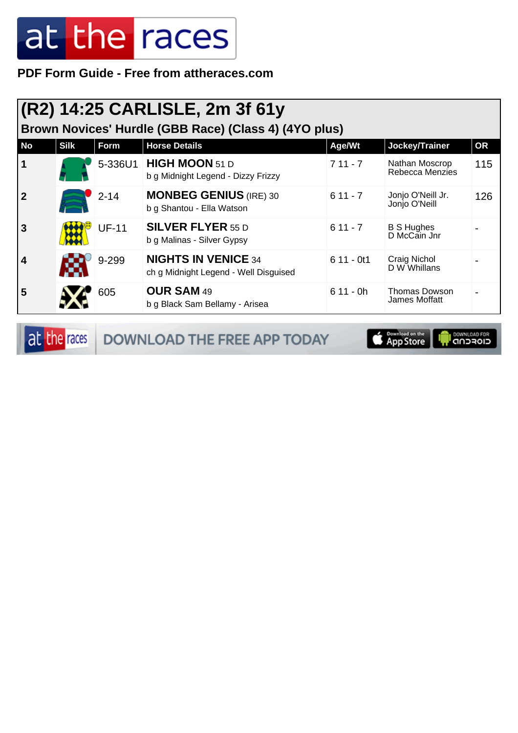**PDF Form Guide - Free from attheraces.com**

| (R2) 14:25 CARLISLE, 2m 3f 61y<br>Brown Novices' Hurdle (GBB Race) (Class 4) (4YO plus) |             |              |                                                                     |             |                                       |           |  |  |
|-----------------------------------------------------------------------------------------|-------------|--------------|---------------------------------------------------------------------|-------------|---------------------------------------|-----------|--|--|
| <b>No</b>                                                                               | <b>Silk</b> | Form         | <b>Horse Details</b>                                                | Age/Wt      | Jockey/Trainer                        | <b>OR</b> |  |  |
| 1                                                                                       |             | 5-336U1      | <b>HIGH MOON</b> 51 D<br>b g Midnight Legend - Dizzy Frizzy         | $711 - 7$   | Nathan Moscrop<br>Rebecca Menzies     | 115       |  |  |
|                                                                                         |             | $2 - 14$     | <b>MONBEG GENIUS (IRE) 30</b><br>b g Shantou - Ella Watson          | $611 - 7$   | Jonjo O'Neill Jr.<br>Jonjo O'Neill    | 126       |  |  |
| 3                                                                                       |             | <b>UF-11</b> | <b>SILVER FLYER 55 D</b><br>b g Malinas - Silver Gypsy              | $611 - 7$   | <b>B S Hughes</b><br>D McCain Jnr     |           |  |  |
| 4                                                                                       |             | 9-299        | <b>NIGHTS IN VENICE 34</b><br>ch g Midnight Legend - Well Disguised | $611 - 0t1$ | Craig Nichol<br>D W Whillans          |           |  |  |
| 5                                                                                       |             | 605          | <b>OUR SAM 49</b><br>b g Black Sam Bellamy - Arisea                 | $611 - 0h$  | <b>Thomas Dowson</b><br>James Moffatt |           |  |  |

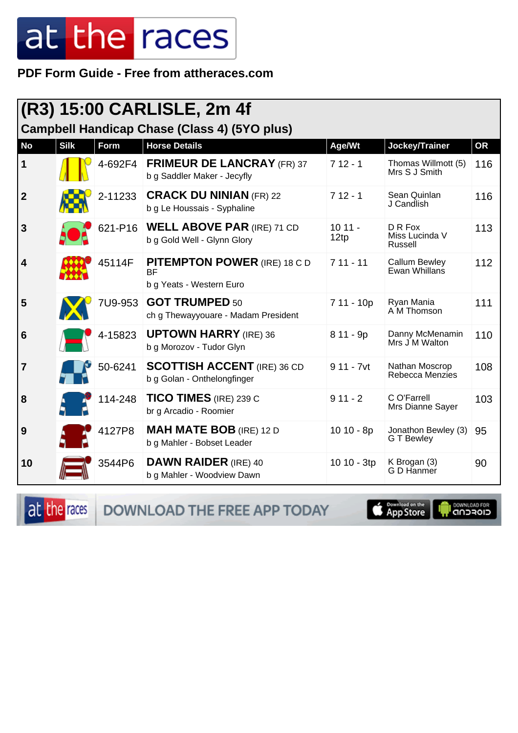PDF Form Guide - Free from attheraces.com

| (R3) 15:00 CARLISLE, 2m 4f                          |             |         |                                                                              |                  |                                         |           |  |
|-----------------------------------------------------|-------------|---------|------------------------------------------------------------------------------|------------------|-----------------------------------------|-----------|--|
| <b>Campbell Handicap Chase (Class 4) (5YO plus)</b> |             |         |                                                                              |                  |                                         |           |  |
| <b>No</b>                                           | <b>Silk</b> | Form    | <b>Horse Details</b>                                                         | Age/Wt           | Jockey/Trainer                          | <b>OR</b> |  |
| $\mathbf 1$                                         |             | 4-692F4 | <b>FRIMEUR DE LANCRAY (FR) 37</b><br>b g Saddler Maker - Jecyfly             | $712 - 1$        | Thomas Willmott (5)<br>Mrs S J Smith    | 116       |  |
| $\overline{2}$                                      |             | 2-11233 | <b>CRACK DU NINIAN (FR) 22</b><br>b g Le Houssais - Syphaline                | $712 - 1$        | Sean Quinlan<br>J Candlish              | 116       |  |
| $\mathbf{3}$                                        |             | 621-P16 | <b>WELL ABOVE PAR (IRE) 71 CD</b><br>b g Gold Well - Glynn Glory             | $1011 -$<br>12tp | D R Fox<br>Miss Lucinda V<br>Russell    | 113       |  |
| $\overline{\mathbf{4}}$                             |             | 45114F  | <b>PITEMPTON POWER (IRE) 18 C D</b><br><b>BF</b><br>b g Yeats - Western Euro | $711 - 11$       | <b>Callum Bewley</b><br>Ewan Whillans   | 112       |  |
| 5                                                   |             | 7U9-953 | <b>GOT TRUMPED 50</b><br>ch g Thewayyouare - Madam President                 | 7 11 - 10p       | Ryan Mania<br>A M Thomson               | 111       |  |
| $6\phantom{1}6$                                     |             | 4-15823 | <b>UPTOWN HARRY (IRE) 36</b><br>b g Morozov - Tudor Glyn                     | 8 11 - 9p        | Danny McMenamin<br>Mrs J M Walton       | 110       |  |
| $\overline{7}$                                      |             | 50-6241 | <b>SCOTTISH ACCENT (IRE) 36 CD</b><br>b g Golan - Onthelongfinger            | $911 - 7$ vt     | Nathan Moscrop<br>Rebecca Menzies       | 108       |  |
| 8                                                   |             | 114-248 | <b>TICO TIMES</b> (IRE) 239 C<br>br g Arcadio - Roomier                      | $911 - 2$        | C O'Farrell<br>Mrs Dianne Sayer         | 103       |  |
| 9                                                   |             | 4127P8  | <b>MAH MATE BOB</b> (IRE) 12 D<br>b g Mahler - Bobset Leader                 | $1010 - 8p$      | Jonathon Bewley (3)<br><b>GT</b> Bewley | 95        |  |
| 10                                                  |             | 3544P6  | <b>DAWN RAIDER (IRE) 40</b><br>b g Mahler - Woodview Dawn                    | 10 10 - 3tp      | K Brogan (3)<br>G D Hanmer              | 90        |  |

at the races

DOWNLOAD THE FREE APP TODAY

App Store

**IN DOWNLOAD FOR**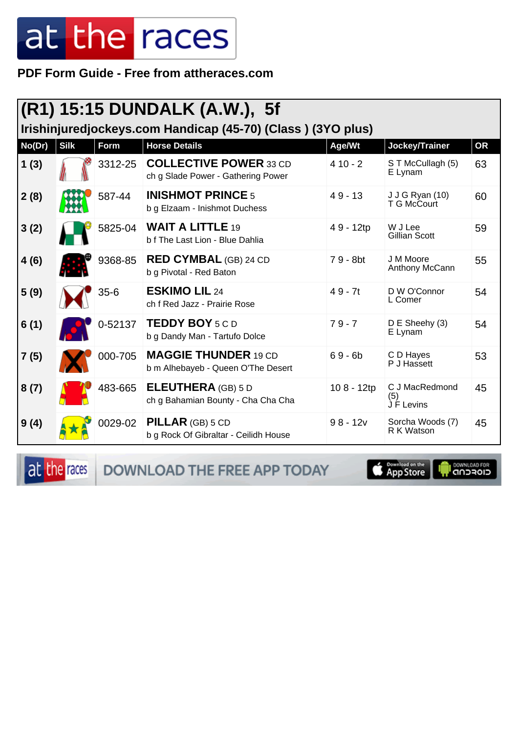PDF Form Guide - Free from attheraces.com

| $(R1)$ 15:15 DUNDALK (A.W.), 5f<br>Irishinjuredjockeys.com Handicap (45-70) (Class) (3YO plus) |             |          |                                                                     |            |                                       |           |  |  |
|------------------------------------------------------------------------------------------------|-------------|----------|---------------------------------------------------------------------|------------|---------------------------------------|-----------|--|--|
| No(Dr)                                                                                         | <b>Silk</b> | Form     | <b>Horse Details</b>                                                | Age/Wt     | Jockey/Trainer                        | <b>OR</b> |  |  |
| 1(3)                                                                                           |             | 3312-25  | <b>COLLECTIVE POWER 33 CD</b><br>ch g Slade Power - Gathering Power | $410 - 2$  | S T McCullagh (5)<br>E Lynam          | 63        |  |  |
| 2(8)                                                                                           |             | 587-44   | <b>INISHMOT PRINCE 5</b><br>b g Elzaam - Inishmot Duchess           | $49 - 13$  | <b>J J G Ryan (10)</b><br>T G McCourt | 60        |  |  |
| 3(2)                                                                                           |             | 5825-04  | <b>WAIT A LITTLE 19</b><br>b f The Last Lion - Blue Dahlia          | 49 - 12tp  | W J Lee<br><b>Gillian Scott</b>       | 59        |  |  |
| 4(6)                                                                                           |             | 9368-85  | <b>RED CYMBAL</b> (GB) 24 CD<br>b g Pivotal - Red Baton             | 79 - 8bt   | J M Moore<br>Anthony McCann           | 55        |  |  |
| 5(9)                                                                                           |             | $35 - 6$ | <b>ESKIMO LIL 24</b><br>ch f Red Jazz - Prairie Rose                | $49 - 7t$  | D W O'Connor<br>L Comer               | 54        |  |  |
| 6(1)                                                                                           |             | 0-52137  | <b>TEDDY BOY 5 C D</b><br>b g Dandy Man - Tartufo Dolce             | $79 - 7$   | D E Sheehy (3)<br>E Lynam             | 54        |  |  |
| 7(5)                                                                                           |             | 000-705  | <b>MAGGIE THUNDER 19 CD</b><br>b m Alhebayeb - Queen O'The Desert   | $69 - 6b$  | C D Hayes<br>P J Hassett              | 53        |  |  |
| 8(7)                                                                                           |             | 483-665  | <b>ELEUTHERA</b> (GB) 5 D<br>ch g Bahamian Bounty - Cha Cha Cha     | 108 - 12tp | C J MacRedmond<br>(5)<br>J F Levins   | 45        |  |  |
| 9(4)                                                                                           |             | 0029-02  | <b>PILLAR</b> (GB) 5 CD<br>b g Rock Of Gibraltar - Ceilidh House    | $98 - 12v$ | Sorcha Woods (7)<br>R K Watson        | 45        |  |  |

at the races DOWNLOAD THE FREE APP TODAY

App Store

**DOWNLOAD FOR**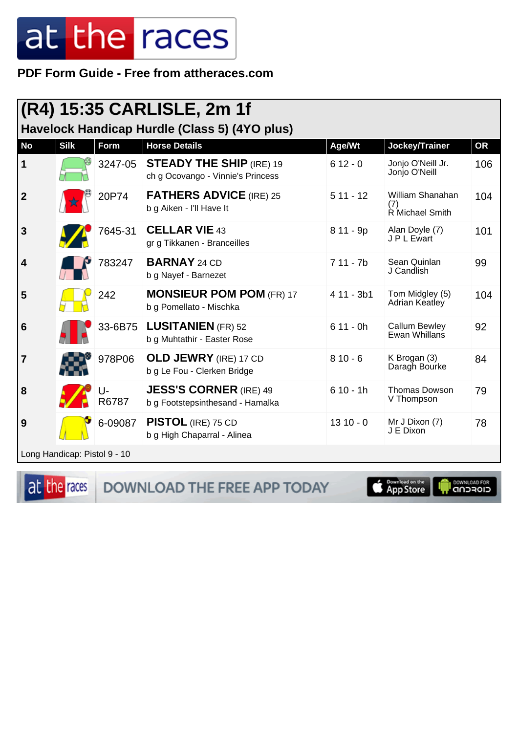PDF Form Guide - Free from attheraces.com

| (R4) 15:35 CARLISLE, 2m 1f                                                                                                                         |                              |             |                                                                      |            |                                            |     |  |  |
|----------------------------------------------------------------------------------------------------------------------------------------------------|------------------------------|-------------|----------------------------------------------------------------------|------------|--------------------------------------------|-----|--|--|
| Havelock Handicap Hurdle (Class 5) (4YO plus)<br><b>Silk</b><br><b>Horse Details</b><br><b>No</b><br>Form<br>Jockey/Trainer<br>Age/Wt<br><b>OR</b> |                              |             |                                                                      |            |                                            |     |  |  |
| 1                                                                                                                                                  |                              | 3247-05     | <b>STEADY THE SHIP (IRE) 19</b><br>ch g Ocovango - Vinnie's Princess | $612 - 0$  | Jonjo O'Neill Jr.<br>Jonjo O'Neill         | 106 |  |  |
| $\overline{2}$                                                                                                                                     |                              | 20P74       | <b>FATHERS ADVICE (IRE) 25</b><br>b g Aiken - I'll Have It           | $511 - 12$ | William Shanahan<br>(7)<br>R Michael Smith | 104 |  |  |
| $\mathbf{3}$                                                                                                                                       |                              | 7645-31     | <b>CELLAR VIE 43</b><br>gr g Tikkanen - Branceilles                  | 8 11 - 9p  | Alan Doyle (7)<br>J P L Ewart              | 101 |  |  |
| $\overline{\mathbf{4}}$                                                                                                                            |                              | 783247      | <b>BARNAY 24 CD</b><br>b g Nayef - Barnezet                          | $711 - 7b$ | Sean Quinlan<br>J Candlish                 | 99  |  |  |
| 5                                                                                                                                                  |                              | 242         | <b>MONSIEUR POM POM (FR) 17</b><br>b g Pomellato - Mischka           | 4 11 - 3b1 | Tom Midgley (5)<br>Adrian Keatley          | 104 |  |  |
| $6\phantom{1}6$                                                                                                                                    |                              | 33-6B75     | <b>LUSITANIEN (FR) 52</b><br>b g Muhtathir - Easter Rose             | $611 - 0h$ | <b>Callum Bewley</b><br>Ewan Whillans      | 92  |  |  |
| 7                                                                                                                                                  |                              | 978P06      | <b>OLD JEWRY</b> (IRE) 17 CD<br>b g Le Fou - Clerken Bridge          | $810 - 6$  | K Brogan (3)<br>Daragh Bourke              | 84  |  |  |
| 8                                                                                                                                                  |                              | U-<br>R6787 | <b>JESS'S CORNER (IRE) 49</b><br>b g Footstepsinthesand - Hamalka    | $610 - 1h$ | <b>Thomas Dowson</b><br>V Thompson         | 79  |  |  |
| 9                                                                                                                                                  |                              | 6-09087     | <b>PISTOL</b> (IRE) 75 CD<br>b g High Chaparral - Alinea             | $1310 - 0$ | Mr J Dixon (7)<br>J E Dixon                | 78  |  |  |
|                                                                                                                                                    | Long Handicap: Pistol 9 - 10 |             |                                                                      |            |                                            |     |  |  |

at the races

DOWNLOAD THE FREE APP TODAY

App Store

**DOWNLOAD FOR**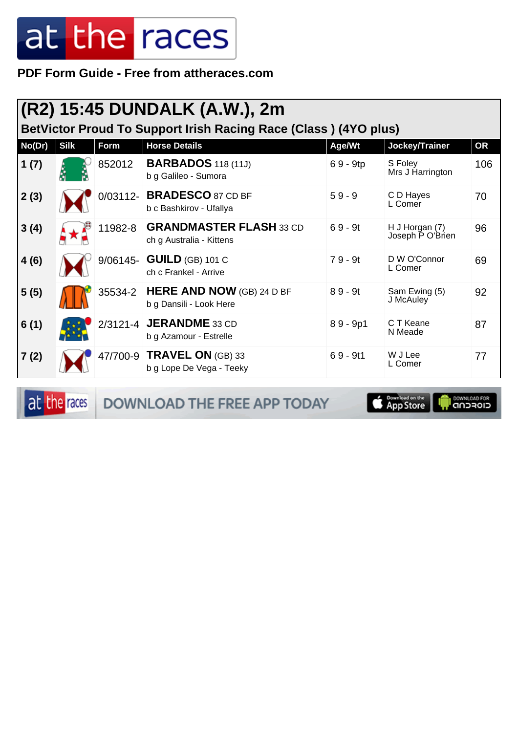PDF Form Guide - Free from attheraces.com

| (R2) 15:45 DUNDALK (A.W.), 2m<br>BetVictor Proud To Support Irish Racing Race (Class) (4YO plus) |             |             |                                                             |            |                                    |     |  |  |
|--------------------------------------------------------------------------------------------------|-------------|-------------|-------------------------------------------------------------|------------|------------------------------------|-----|--|--|
| No(Dr)                                                                                           | <b>Silk</b> | <b>Form</b> | <b>Horse Details</b>                                        | Age/Wt     | Jockey/Trainer                     | OR  |  |  |
| 1(7)                                                                                             |             | 852012      | <b>BARBADOS</b> 118 (11J)<br>b g Galileo - Sumora           | $69 - 9tp$ | S Foley<br>Mrs J Harrington        | 106 |  |  |
| 2(3)                                                                                             |             |             | 0/03112- BRADESCO 87 CD BF<br>b c Bashkirov - Ufallya       | $59 - 9$   | C D Hayes<br>L Comer               | 70  |  |  |
| 3(4)                                                                                             |             | 11982-8     | <b>GRANDMASTER FLASH 33 CD</b><br>ch g Australia - Kittens  | $69 - 9t$  | H J Horgan (7)<br>Joseph P O'Brien | 96  |  |  |
| 4(6)                                                                                             |             |             | 9/06145- <b>GUILD</b> (GB) 101 C<br>ch c Frankel - Arrive   | $79 - 9t$  | D W O'Connor<br>L Comer            | 69  |  |  |
| 5(5)                                                                                             |             | 35534-2     | <b>HERE AND NOW</b> (GB) 24 D BF<br>b g Dansili - Look Here | $89 - 9t$  | Sam Ewing (5)<br>J McAuley         | 92  |  |  |
| 6(1)                                                                                             |             |             | 2/3121-4 JERANDME 33 CD<br>b g Azamour - Estrelle           | $89 - 9p1$ | C T Keane<br>N Meade               | 87  |  |  |
| 7(2)                                                                                             |             |             | 47/700-9 TRAVEL ON (GB) 33<br>b g Lope De Vega - Teeky      | $69 - 9t1$ | W J Lee<br>L Comer                 | 77  |  |  |

at the races

DOWNLOAD THE FREE APP TODAY

Download on the **I DOWNLOAD FOR**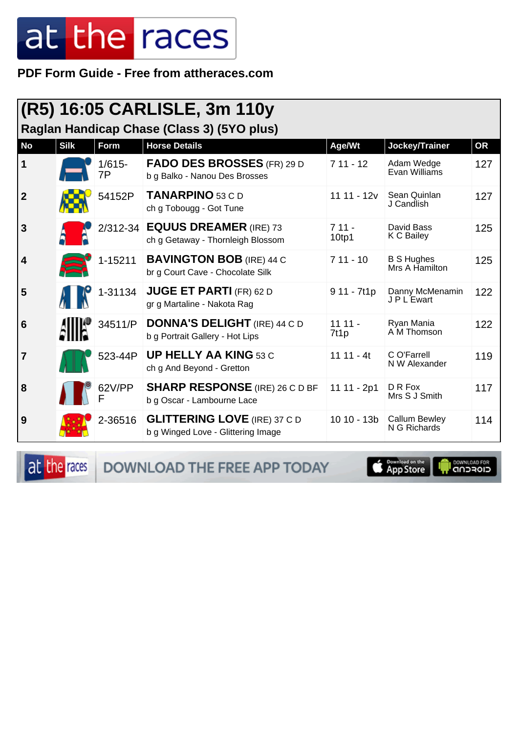**PDF Form Guide - Free from attheraces.com**

| (R5) 16:05 CARLISLE, 3m 110y<br>Raglan Handicap Chase (Class 3) (5YO plus) |             |                 |                                                                           |                              |                                      |           |  |  |
|----------------------------------------------------------------------------|-------------|-----------------|---------------------------------------------------------------------------|------------------------------|--------------------------------------|-----------|--|--|
| <b>No</b>                                                                  | <b>Silk</b> | Form            | <b>Horse Details</b>                                                      | Age/Wt                       | Jockey/Trainer                       | <b>OR</b> |  |  |
| 1                                                                          |             | $1/615 -$<br>7P | <b>FADO DES BROSSES</b> (FR) 29 D<br>b g Balko - Nanou Des Brosses        | $711 - 12$                   | Adam Wedge<br>Evan Williams          | 127       |  |  |
| $\mathbf{2}$                                                               |             | 54152P          | <b>TANARPINO</b> 53 C D<br>ch g Tobougg - Got Tune                        | $1111 - 12v$                 | Sean Quinlan<br>J Candlish           | 127       |  |  |
| 3                                                                          |             |                 | 2/312-34 EQUUS DREAMER (IRE) 73<br>ch g Getaway - Thornleigh Blossom      | $711 -$<br>10 <sub>tp1</sub> | David Bass<br>K C Bailey             | 125       |  |  |
| 4                                                                          |             | 1-15211         | <b>BAVINGTON BOB</b> (IRE) 44 C<br>br g Court Cave - Chocolate Silk       | $711 - 10$                   | <b>B S Hughes</b><br>Mrs A Hamilton  | 125       |  |  |
| 5                                                                          |             | 1-31134         | <b>JUGE ET PARTI (FR) 62 D</b><br>gr g Martaline - Nakota Rag             | 9 11 - 7t1p                  | Danny McMenamin<br>J P L Ewart       | 122       |  |  |
| 6                                                                          |             | 34511/P         | <b>DONNA'S DELIGHT</b> (IRE) 44 C D<br>b g Portrait Gallery - Hot Lips    | $1111 -$<br>7t1p             | Ryan Mania<br>A M Thomson            | 122       |  |  |
| 7                                                                          |             | 523-44P         | <b>UP HELLY AA KING 53 C</b><br>ch g And Beyond - Gretton                 | $1111 - 4t$                  | C O'Farrell<br>N W Alexander         | 119       |  |  |
| 8                                                                          |             | 62V/PP          | <b>SHARP RESPONSE</b> (IRE) 26 C D BF<br>b g Oscar - Lambourne Lace       | 11 11 - 2p1                  | D R Fox<br>Mrs S J Smith             | 117       |  |  |
| 9                                                                          |             | 2-36516         | <b>GLITTERING LOVE</b> (IRE) 37 C D<br>b g Winged Love - Glittering Image | 10 10 - 13b                  | <b>Callum Bewley</b><br>N G Richards | 114       |  |  |

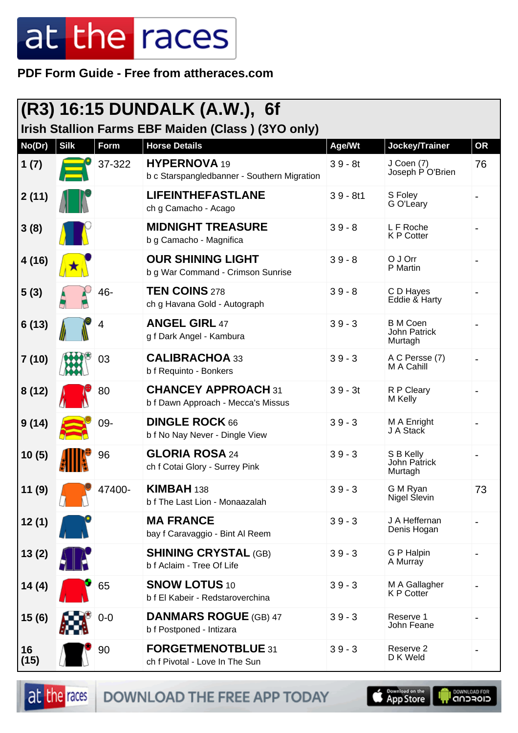**PDF Form Guide - Free from attheraces.com**

| $ (R3)$ 16:15 DUNDALK (A.W.), 6f<br>Irish Stallion Farms EBF Maiden (Class) (3YO only) |             |        |                                                                    |            |                                             |           |  |
|----------------------------------------------------------------------------------------|-------------|--------|--------------------------------------------------------------------|------------|---------------------------------------------|-----------|--|
| No(Dr)                                                                                 | <b>Silk</b> | Form   | <b>Horse Details</b>                                               | Age/Wt     | Jockey/Trainer                              | <b>OR</b> |  |
| 1(7)                                                                                   |             | 37-322 | <b>HYPERNOVA</b> 19<br>b c Starspangledbanner - Southern Migration | $39 - 8t$  | J Coen (7)<br>Joseph P O'Brien              | 76        |  |
| 2(11)                                                                                  |             |        | <b>LIFEINTHEFASTLANE</b><br>ch g Camacho - Acago                   | $39 - 8t1$ | S Foley<br>G O'Leary                        |           |  |
| 3(8)                                                                                   |             |        | <b>MIDNIGHT TREASURE</b><br>b g Camacho - Magnifica                | $39 - 8$   | L F Roche<br><b>KP</b> Cotter               |           |  |
| 4 (16)                                                                                 |             |        | <b>OUR SHINING LIGHT</b><br>b g War Command - Crimson Sunrise      | $39 - 8$   | O J Orr<br>P Martin                         |           |  |
| 5(3)                                                                                   |             | 46-    | <b>TEN COINS 278</b><br>ch g Havana Gold - Autograph               | $39 - 8$   | C D Hayes<br>Eddie & Harty                  |           |  |
| 6(13)                                                                                  |             | 4      | <b>ANGEL GIRL 47</b><br>g f Dark Angel - Kambura                   | $39 - 3$   | <b>B</b> M Coen<br>John Patrick<br>Murtagh  |           |  |
| 7 (10)                                                                                 |             | 03     | <b>CALIBRACHOA 33</b><br>b f Requinto - Bonkers                    | $39 - 3$   | A C Persse (7)<br>M A Cahill                |           |  |
| 8(12)                                                                                  |             | 80     | <b>CHANCEY APPROACH 31</b><br>b f Dawn Approach - Mecca's Missus   | $39 - 3t$  | R P Cleary<br>M Kelly                       |           |  |
| 9(14)                                                                                  |             | 09-    | <b>DINGLE ROCK 66</b><br>b f No Nay Never - Dingle View            | $39 - 3$   | M A Enright<br>J A Stack                    |           |  |
| 10(5)                                                                                  |             | 96     | <b>GLORIA ROSA 24</b><br>ch f Cotai Glory - Surrey Pink            | $39 - 3$   | S B Kelly<br><b>John Patrick</b><br>Murtagh |           |  |
| 11(9)                                                                                  |             | 47400- | KIMBAH 138<br>b f The Last Lion - Monaazalah                       | $39 - 3$   | G M Ryan<br>Nigel Slevin                    | 73        |  |
| 12(1)                                                                                  |             |        | <b>MA FRANCE</b><br>bay f Caravaggio - Bint Al Reem                | $39 - 3$   | J A Heffernan<br>Denis Hogan                |           |  |
| 13(2)                                                                                  |             |        | <b>SHINING CRYSTAL (GB)</b><br>b f Aclaim - Tree Of Life           | $39 - 3$   | <b>G P Halpin</b><br>A Murray               |           |  |
| 14 (4)                                                                                 |             | 65     | <b>SNOW LOTUS 10</b><br>b f El Kabeir - Redstaroverchina           | $39 - 3$   | M A Gallagher<br>K P Cotter                 |           |  |
| 15(6)                                                                                  |             | $0-0$  | <b>DANMARS ROGUE (GB) 47</b><br>b f Postponed - Intizara           | $39 - 3$   | Reserve 1<br>John Feane                     |           |  |
| 16<br>(15)                                                                             |             | 90     | FORGETMENOTBLUE 31<br>ch f Pivotal - Love In The Sun               | $39 - 3$   | Reserve 2<br>D K Weld                       |           |  |

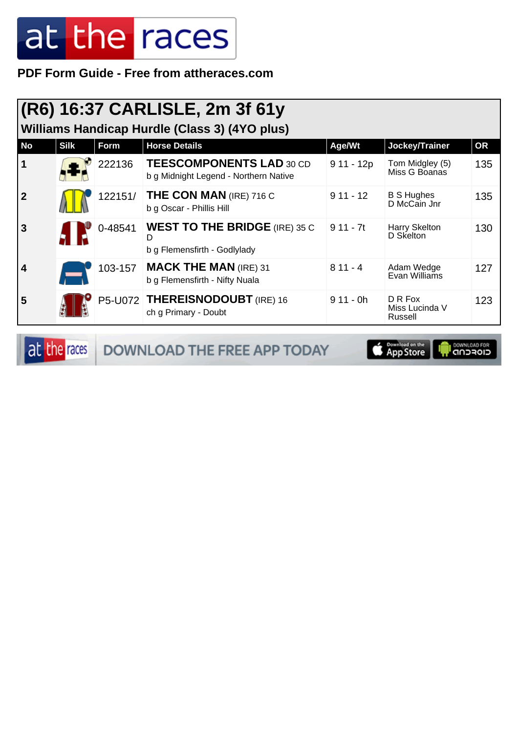PDF Form Guide - Free from attheraces.com

| (R6) 16:37 CARLISLE, 2m 3f 61y<br>Williams Handicap Hurdle (Class 3) (4YO plus) |             |         |                                                                           |             |                                      |           |  |  |
|---------------------------------------------------------------------------------|-------------|---------|---------------------------------------------------------------------------|-------------|--------------------------------------|-----------|--|--|
| No                                                                              | <b>Silk</b> | Form    | <b>Horse Details</b>                                                      | Age/Wt      | Jockey/Trainer                       | <b>OR</b> |  |  |
|                                                                                 |             | 222136  | <b>TEESCOMPONENTS LAD 30 CD</b><br>b g Midnight Legend - Northern Native  | $911 - 12p$ | Tom Midgley (5)<br>Miss G Boanas     | 135       |  |  |
| $\mathbf{2}$                                                                    |             | 122151/ | <b>THE CON MAN (IRE) 716 C</b><br>b g Oscar - Phillis Hill                | $911 - 12$  | <b>B S Hughes</b><br>D McCain Jnr    | 135       |  |  |
| 3                                                                               |             | 0-48541 | <b>WEST TO THE BRIDGE</b> (IRE) 35 C<br>D<br>b g Flemensfirth - Godlylady | $911 - 7t$  | Harry Skelton<br>D Skelton           | 130       |  |  |
| 4                                                                               |             | 103-157 | <b>MACK THE MAN (IRE) 31</b><br>b g Flemensfirth - Nifty Nuala            | $811 - 4$   | Adam Wedge<br>Evan Williams          | 127       |  |  |
| 5                                                                               |             |         | P5-U072 THEREISNODOUBT (IRE) 16<br>ch g Primary - Doubt                   | $911 - 0h$  | D R Fox<br>Miss Lucinda V<br>Russell | 123       |  |  |

at the races

DOWNLOAD THE FREE APP TODAY

**Completed on the I DOWNLOAD FOR**